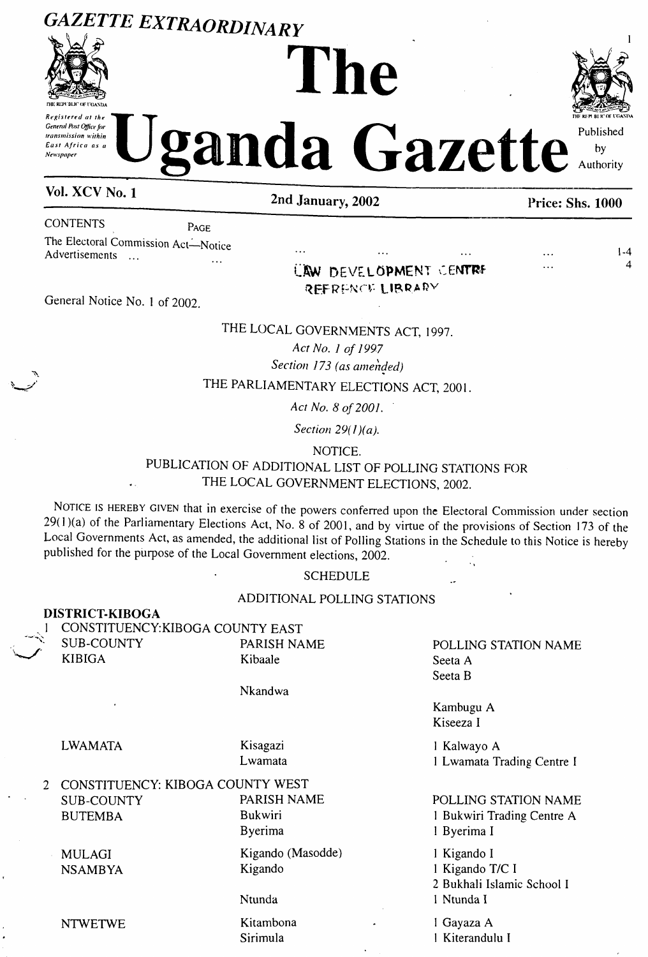## **GAZETTE EXTRAORDINARY**



Repistered at the **General Post Office for** transmission within East Africa as a **Newspaper** 

# he



 $1-4$ 

 $\Delta$ 

Published anda Gazette by Authority

 $\ddotsc$ 

Vol. XCV No. 1

2nd January, 2002

#### Price: Shs. 1000

**CONTENTS** 

PAGE

The Electoral Commission Act-Notice Advertisements ...  $\mathbf{r}$ 

UAW DEVELOPMENT CENTRE REFRENCE LIBRARY

General Notice No. 1 of 2002.

### THE LOCAL GOVERNMENTS ACT, 1997.

Act No. 1 of 1997

#### Section 173 (as amended)

#### THE PARLIAMENTARY ELECTIONS ACT, 2001.

Act No. 8 of 2001.

Section  $29(1)(a)$ .

NOTICE.

#### PUBLICATION OF ADDITIONAL LIST OF POLLING STATIONS FOR THE LOCAL GOVERNMENT ELECTIONS, 2002.

NOTICE IS HEREBY GIVEN that in exercise of the powers conferred upon the Electoral Commission under section 29(1)(a) of the Parliamentary Elections Act, No.  $8$  of 2001, and by virtue of the provisions of Section 173 of the Local Governments Act, as amended, the additional list of Polling Stations in the Schedule to this Notice is hereby published for the purpose of the Local Government elections, 2002. Û,

**SCHEDULE** 

#### ADDITIONAL POLLING STATIONS

**DISTRICT-KIBOGA** 

**SUB-COUNTY KIBIGA** 

**LWAMATA** 

CONSTITUENCY: KIBOGA COUNTY EAST PARISH NAME Kibaale

#### Nkandwa

Kisagazi

Lwamata

POLLING STATION NAME Seeta A Seeta B

Kambugu A Kiseeza I

1 Kalwayo A 1 Lwamata Trading Centre I

| 2 CONSTITUENCY: KIBOGA COUNTY WEST |                   |                            |
|------------------------------------|-------------------|----------------------------|
| <b>SUB-COUNTY</b>                  | PARISH NAME       | POLLING STATION NAME       |
| <b>BUTEMBA</b>                     | Bukwiri           | 1 Bukwiri Trading Centre A |
|                                    | Byerima           | 1 Byerima I                |
| <b>MULAGI</b>                      | Kigando (Masodde) | 1 Kigando I                |
| <b>NSAMBYA</b>                     | Kigando           | 1 Kigando T/C I            |
|                                    |                   | 2 Bukhali Islamic School I |
|                                    | Ntunda            | I Ntunda I                 |
| <b>NTWETWE</b>                     | Kitambona<br>۰    | 1 Gayaza A                 |
|                                    | Sirimula          | 1 Kiterandulu I            |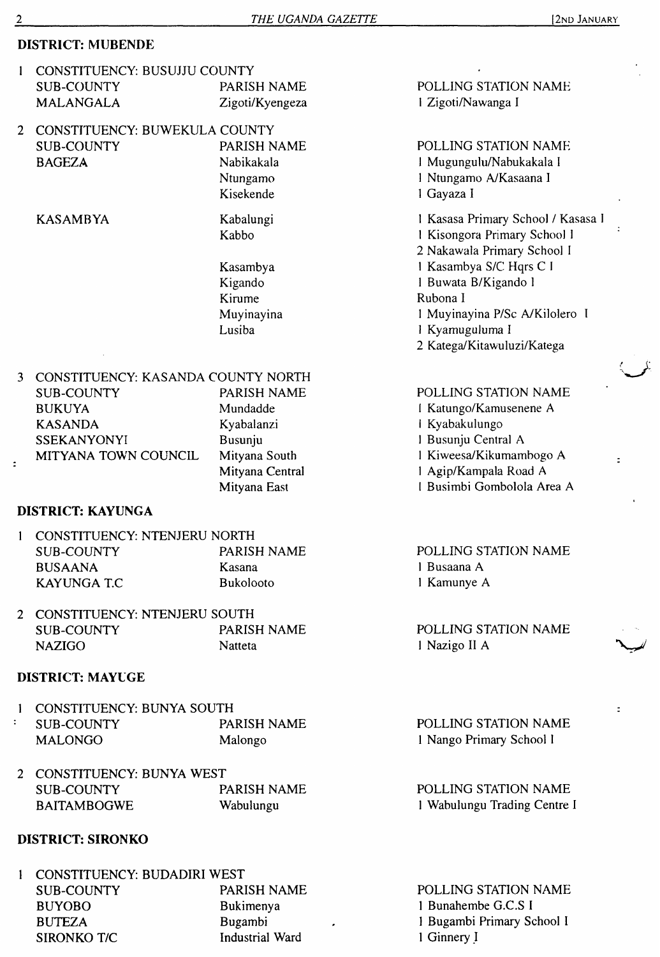#### **DISTRICT: MUBENDE**

- 1 CONSTITUENCY: BUSUJJU COUNTY<br>SUB-COUNTY PARISH NAME SUB-COUNTY MALANGALA Zigoti/Kyengeza
- 2 CONSTITUENCY: BUWEKULA COUNTY SUB-COUNTY BAGEZA PARISH NAME Nabikakala Ntungamo

KASAMBYA Kabalungi

Kabbo

Kisekende

Kasambya Kigando Kirume Muyinayina Lusiba

#### 3 CONSTITUENCY: KASANDA COUNTY NORTH

| SUB-COUNTY           | PARISH NAME     |
|----------------------|-----------------|
| <b>BUKUYA</b>        | Mundadde        |
| <b>KASANDA</b>       | Kyabalanzi      |
| <b>SSEKANYONYI</b>   | Busunju         |
| MITYANA TOWN COUNCIL | Mityana South   |
|                      | Mityana Central |
|                      | Mityana East    |

#### **DISTRICT: KAYUNGA**

| 1 CONSTITUENCY: NTENJERU NORTH |                  |  |
|--------------------------------|------------------|--|
| SUB-COUNTY                     | PARISH NAME      |  |
| <b>BUSAANA</b>                 | Kasana           |  |
| KAYUNGA T.C.                   | <b>Bukolooto</b> |  |

2 CONSTITUENCY: NTENJERU SOUTH SUB-COUNTY PARISH NAME NAZIGO Natteta

#### **DISTRICT: MAYLGE**

|                           | 1 CONSTITUENCY: BUNYA SOUTH |             |                          |
|---------------------------|-----------------------------|-------------|--------------------------|
| $\mathbf{L} = \mathbf{L}$ | SUB-COUNTY                  | PARISH NAME | POLLING STATION NAME     |
|                           | <b>MALONGO</b>              | Malongo     | 1 Nango Primary School I |
|                           |                             |             |                          |

| 2 CONSTITUENCY: BUNYA WEST |             |                           |
|----------------------------|-------------|---------------------------|
| SUB-COUNTY                 | PARISH NAME | POLLING STATION NAME      |
| <b>BAITAMBOGWE</b>         | Wabulungu   | 1 Wabulungu Trading Centr |

#### **DISTRICT: SIRONKO**

| CONSTITUENCY: BUDADIRI WEST |                        |                |
|-----------------------------|------------------------|----------------|
| SUB-COUNTY                  | PARISH NAME            | POLLING STAT   |
| <b>BUYOBO</b>               | Bukimenya              | 1 Bunahembe G  |
| <b>BUTEZA</b>               | <b>Bugambi</b>         | 1 Bugambi Prim |
| SIRONKO T/C                 | <b>Industrial Ward</b> | 1 Ginnery I    |
|                             |                        |                |

POLLING STATION NAME <sup>1</sup> Zigoti/Nawanga I

POLLING STATION NAME <sup>1</sup> Mugungulu/Nabukakala <sup>I</sup> <sup>1</sup> Ntungamo A/Kasaana <sup>I</sup>

<sup>1</sup> Gayaza <sup>I</sup>

 Kasasa Primary School / Kasasa <sup>1</sup> Kisongora Primary School <sup>1</sup> Nakawala Primary School <sup>I</sup> Kasambya S/C Hqrs C <sup>I</sup> Buwata B/Kigando <sup>1</sup> Rubona I Muyinayina P/Sc A/Kilolero <sup>I</sup> Kyamuguluma <sup>I</sup> Katega/Kitawuluzi/Katega

#### POLLING STATION NAME

 Katungo/Kamusenene A <sup>I</sup> Kyabakulungo Busunju Central A Kiweesa/Kikumambogo A Agip/Kampala Road A <sup>I</sup> Busimbi Gombolola Area A

POLLING STATION NAME <sup>1</sup> Busaana A <sup>1</sup> Kamunye A

POLLING STATION NAME <sup>1</sup> Nazigo II A

POLLING STATION NAME <sup>1</sup> Wabulungu Trading Centre I

**TION NAME**  $C.S I$ nary School I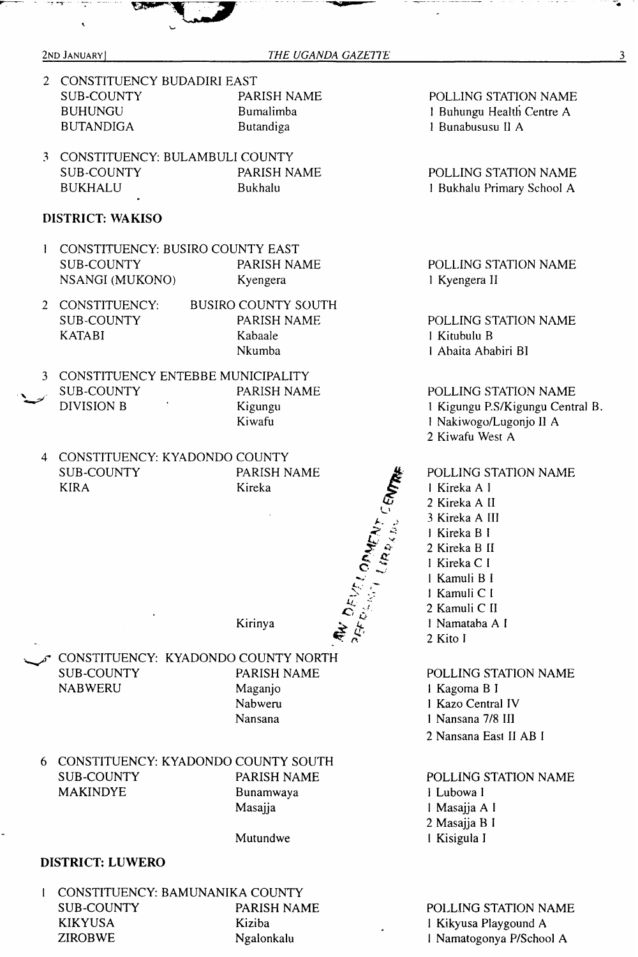- 2 CONSTITUENCY BUDADIRI EAST<br>SUB-COUNTY PARISH NAME SUB-COUNTY BUHUNGU Bumalimba BUTANDIGA Butandiga
- 3 CONSTITUENCY: BULAMBULI COUNTY<br>SUB-COUNTY PARISH N. PARISH NAME BUKHALU Bukhalu

#### **DISTRICT: WAKISO**

- <sup>1</sup> CONSTITUENCY: BUSIRO COUNTY EAST SUB-COUNTY PARISH NAME NSANGI (MUKONO) Kyengera
- 2 CONSTITUENCY: SUB-COUNTY KATABI BUSIRO COUNTY SOUTH PARISH NAME Kabaale Nkumba
- 3 CONSTITUENCY ENTEBBE MUNICIPALITY<br>SUB-COUNTY PARISH NAM
- PARISH NAME DIVISION B 1 Kigungu Kiwafu
- 4 CONSTITUENCY: KYADONDO COUNTY SUB-COUNTY KIRA PARISH NAME Kireka

POLLING STATION NAME <sup>1</sup> Buhungu Health Centre A <sup>1</sup> Bunabususu II A

POLLING STATION NAME <sup>1</sup> Bukhalu Primary School A

POLLING STATION NAME <sup>1</sup> Kyengera II

POLLING STATION NAME <sup>1</sup> Kitubulu B <sup>I</sup> Abaita Ababiri BI

POLLING STATION NAME Kigungu P.S/Kigungu Central B. Nakiwogo/Lugonjo II A Kiwafu West A

POLLING STATION NAME Kireka A <sup>1</sup> Kireka A II Kireka A III Kireka B <sup>1</sup> Kireka B II Kireka C <sup>I</sup> Kamuli B <sup>I</sup> Kamuli C <sup>I</sup> Kamuli C II Namataba A <sup>I</sup> 2 Kito <sup>I</sup>

POLLING STATION NAME Kagoma B <sup>I</sup> Kazo Central IV Nansana 7/8 III Nansana East II AB <sup>I</sup>

POLLING STATION NAME <sup>1</sup> Lubowa <sup>1</sup> <sup>1</sup> Masajja A <sup>I</sup> 2 Masajja B <sup>I</sup> <sup>I</sup> Kisigula I

POLLING STATION NAME <sup>1</sup> Kikyusa Playgound A <sup>I</sup> Namatogonya P/School A

Kirinya

Nansana

Mutundwe

CONSTITUENCY: KYADONDO COUNTY NORTH SUB-COUNTY PARISH NAME NABWERU Maganjo Nabweru

6 CONSTITUENCY: KYADONDO COUNTY SOUTH SUB-COUNTY PARISH NAME MAKINDYE Bunamwaya Masajja

#### **DISTRICT: LUWERO**

<sup>1</sup> CONSTITUENCY: BAMUNANIKA COUNTY SUB-COUNTY PARISH NAME KIKYUSA Kiziba ZIROBWE Ngalonkalu